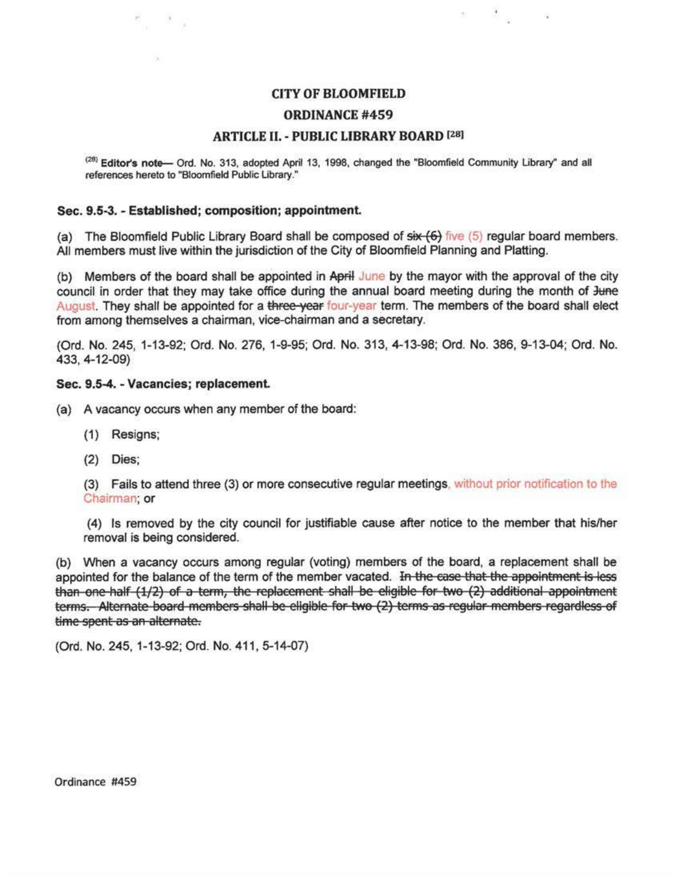## **CITY OF BLOOMFIELD**

 $\kappa = \frac{35}{2}$  , a

### **ORDINANCE #459**

## **ARTICLE II. - PUBLIC LIBRARY BOARD [28]**

<sup>(28)</sup> Editor's note— Ord. No. 313, adopted April 13, 1998, changed the "Bloomfield Community Library" and all references hereto to "Bloomfield Public Library."

#### Sec. 9.5-3. - Established: composition: appointment.

(a) The Bloomfield Public Library Board shall be composed of  $\frac{4}{5}$  five (5) regular board members. All members must live within the jurisdiction of the City of Bloomfield Planning and Platting.

(b) Members of the board shall be appointed in April June by the mayor with the approval of the city council in order that they may take office during the annual board meeting during the month of June August. They shall be appointed for a three-year four-year term. The members of the board shall elect from among themselves a chairman, vice-chairman and a secretary.

(Ord. No. 245, 1-13-92; Ord. No. 276, 1-9-95; Ord. No. 313, 4-13-98; Ord. No. 386, 9-13-04; Ord. No. 433, 4-12-09)

## Sec. 9.5-4. - Vacancies; replacement.

8, 8,

(a) A vacancy occurs when any member of the board:

- (1) Resigns;
- $(2)$  Dies:

(3) Fails to attend three (3) or more consecutive regular meetings, without prior notification to the Chairman: or

(4) Is removed by the city council for justifiable cause after notice to the member that his/her removal is being considered.

(b) When a vacancy occurs among regular (voting) members of the board, a replacement shall be appointed for the balance of the term of the member vacated. In the case that the appointment is less than one-half (1/2) of a term, the replacement shall be eligible for two (2) additional appointment terms. Alternate board members shall be eligible for two (2) terms as regular members regardless of time spent as an alternate.

(Ord. No. 245, 1-13-92; Ord. No. 411, 5-14-07)